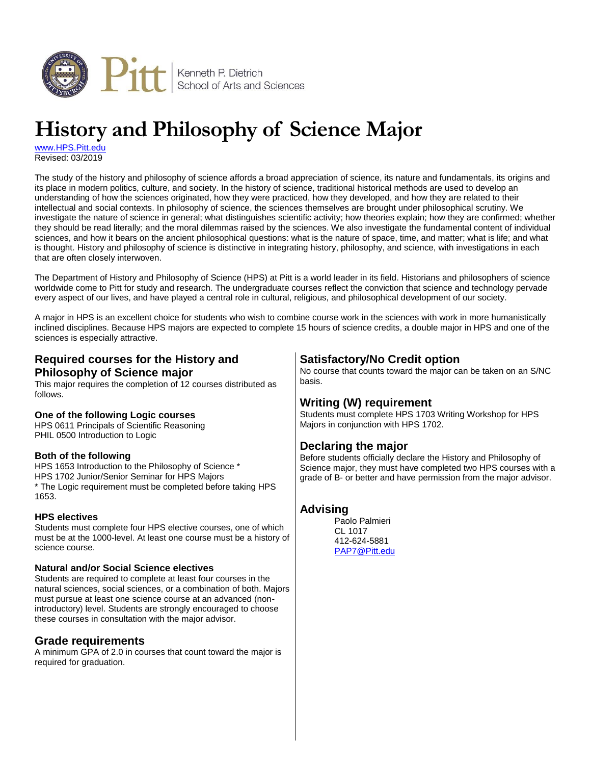

# **History and Philosophy of Science Major**

[www.HPS.Pitt.edu](http://www.hps.pitt.edu/) Revised: 03/2019

The study of the history and philosophy of science affords a broad appreciation of science, its nature and fundamentals, its origins and its place in modern politics, culture, and society. In the history of science, traditional historical methods are used to develop an understanding of how the sciences originated, how they were practiced, how they developed, and how they are related to their intellectual and social contexts. In philosophy of science, the sciences themselves are brought under philosophical scrutiny. We investigate the nature of science in general; what distinguishes scientific activity; how theories explain; how they are confirmed; whether they should be read literally; and the moral dilemmas raised by the sciences. We also investigate the fundamental content of individual sciences, and how it bears on the ancient philosophical questions: what is the nature of space, time, and matter; what is life; and what is thought. History and philosophy of science is distinctive in integrating history, philosophy, and science, with investigations in each that are often closely interwoven.

The Department of History and Philosophy of Science (HPS) at Pitt is a world leader in its field. Historians and philosophers of science worldwide come to Pitt for study and research. The undergraduate courses reflect the conviction that science and technology pervade every aspect of our lives, and have played a central role in cultural, religious, and philosophical development of our society.

A major in HPS is an excellent choice for students who wish to combine course work in the sciences with work in more humanistically inclined disciplines. Because HPS majors are expected to complete 15 hours of science credits, a double major in HPS and one of the sciences is especially attractive.

## **Required courses for the History and Philosophy of Science major**

This major requires the completion of 12 courses distributed as follows.

#### **One of the following Logic courses**

HPS 0611 Principals of Scientific Reasoning PHIL 0500 Introduction to Logic

#### **Both of the following**

HPS 1653 Introduction to the Philosophy of Science \* HPS 1702 Junior/Senior Seminar for HPS Majors \* The Logic requirement must be completed before taking HPS 1653.

#### **HPS electives**

Students must complete four HPS elective courses, one of which must be at the 1000-level. At least one course must be a history of science course.

#### **Natural and/or Social Science electives**

Students are required to complete at least four courses in the natural sciences, social sciences, or a combination of both. Majors must pursue at least one science course at an advanced (nonintroductory) level. Students are strongly encouraged to choose these courses in consultation with the major advisor.

#### **Grade requirements**

A minimum GPA of 2.0 in courses that count toward the major is required for graduation.

# **Satisfactory/No Credit option**

No course that counts toward the major can be taken on an S/NC basis.

## **Writing (W) requirement**

Students must complete HPS 1703 Writing Workshop for HPS Majors in conjunction with HPS 1702.

## **Declaring the major**

Before students officially declare the History and Philosophy of Science major, they must have completed two HPS courses with a grade of B- or better and have permission from the major advisor.

## **Advising**

Paolo Palmieri CL 1017 412-624-5881 [PAP7@Pitt.edu](mailto:pap7@pitt.edu)